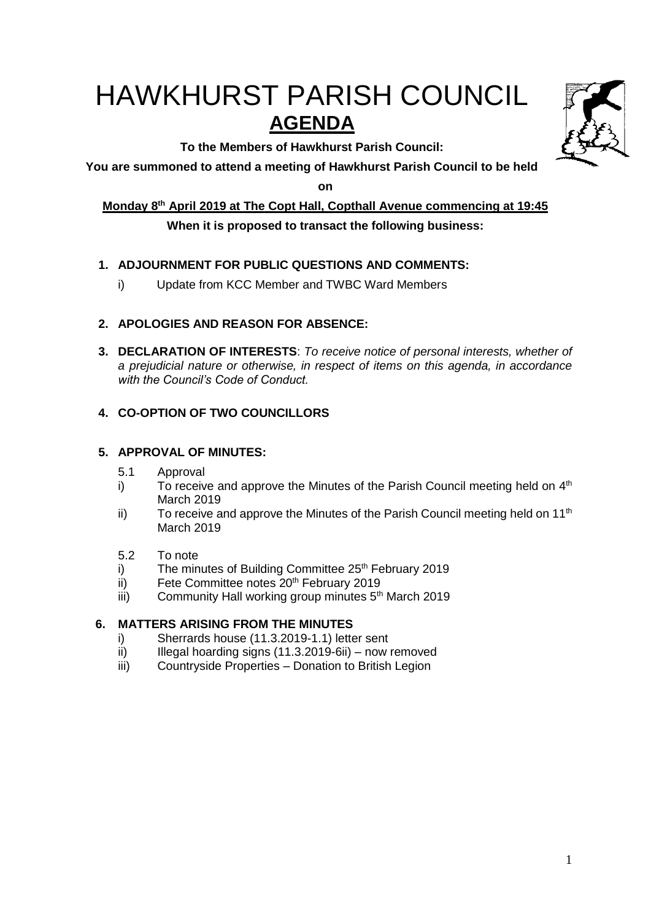# HAWKHURST PARISH COUNCIL **AGENDA**

**To the Members of Hawkhurst Parish Council:**

**You are summoned to attend a meeting of Hawkhurst Parish Council to be held** 

**on**

**Monday 8 th April 2019 at The Copt Hall, Copthall Avenue commencing at 19:45**

# **When it is proposed to transact the following business:**

# **1. ADJOURNMENT FOR PUBLIC QUESTIONS AND COMMENTS:**

i) Update from KCC Member and TWBC Ward Members

# **2. APOLOGIES AND REASON FOR ABSENCE:**

**3. DECLARATION OF INTERESTS**: *To receive notice of personal interests, whether of a prejudicial nature or otherwise, in respect of items on this agenda, in accordance with the Council's Code of Conduct.*

# **4. CO-OPTION OF TWO COUNCILLORS**

## **5. APPROVAL OF MINUTES:**

- 5.1 Approval
- i) To receive and approve the Minutes of the Parish Council meeting held on  $4<sup>th</sup>$ March 2019
- ii) To receive and approve the Minutes of the Parish Council meeting held on 11<sup>th</sup> March 2019
- 5.2 To note
- i) The minutes of Building Committee  $25<sup>th</sup>$  February 2019
- ii) Fete Committee notes  $20<sup>th</sup>$  February 2019
- iii) Community Hall working group minutes  $5<sup>th</sup>$  March 2019

# **6. MATTERS ARISING FROM THE MINUTES**

- i) Sherrards house (11.3.2019-1.1) letter sent
- $ii)$  Illegal hoarding signs (11.3.2019-6ii) now removed
- iii) Countryside Properties Donation to British Legion

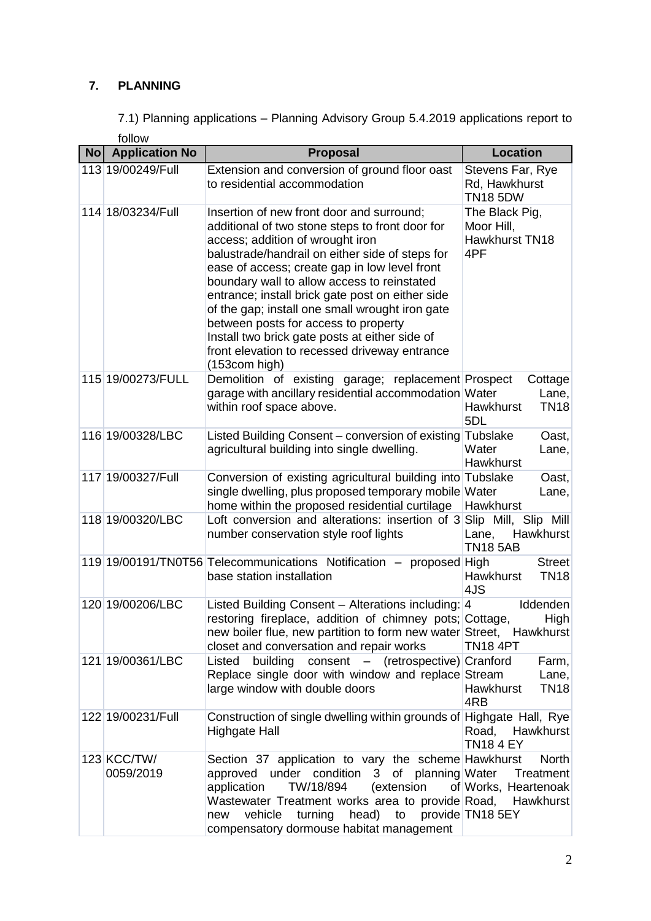# **7. PLANNING**

7.1) Planning applications – Planning Advisory Group 5.4.2019 applications report to follow

| No Application No        | Proposal                                                                                                                                                                                                                                                                                                                                                                                                                                                                                                                                               | <b>Location</b>                                       |  |
|--------------------------|--------------------------------------------------------------------------------------------------------------------------------------------------------------------------------------------------------------------------------------------------------------------------------------------------------------------------------------------------------------------------------------------------------------------------------------------------------------------------------------------------------------------------------------------------------|-------------------------------------------------------|--|
| 113 19/00249/Full        | Extension and conversion of ground floor oast<br>to residential accommodation                                                                                                                                                                                                                                                                                                                                                                                                                                                                          | Stevens Far, Rye<br>Rd, Hawkhurst<br><b>TN18 5DW</b>  |  |
| 114 18/03234/Full        | Insertion of new front door and surround;<br>additional of two stone steps to front door for<br>access; addition of wrought iron<br>balustrade/handrail on either side of steps for<br>ease of access; create gap in low level front<br>boundary wall to allow access to reinstated<br>entrance; install brick gate post on either side<br>of the gap; install one small wrought iron gate<br>between posts for access to property<br>Install two brick gate posts at either side of<br>front elevation to recessed driveway entrance<br>(153com high) | The Black Pig,<br>Moor Hill,<br>Hawkhurst TN18<br>4PF |  |
| 115 19/00273/FULL        | Demolition of existing garage; replacement Prospect<br>garage with ancillary residential accommodation Water<br>within roof space above.                                                                                                                                                                                                                                                                                                                                                                                                               | Cottage<br>Lane,<br><b>TN18</b><br>Hawkhurst<br>5DL   |  |
| 116 19/00328/LBC         | Listed Building Consent - conversion of existing Tubslake<br>agricultural building into single dwelling.                                                                                                                                                                                                                                                                                                                                                                                                                                               | Oast,<br>Water<br>Lane,<br>Hawkhurst                  |  |
| 117 19/00327/Full        | Conversion of existing agricultural building into Tubslake<br>single dwelling, plus proposed temporary mobile Water<br>home within the proposed residential curtilage                                                                                                                                                                                                                                                                                                                                                                                  | Oast,<br>Lane,<br>Hawkhurst                           |  |
| 118 19/00320/LBC         | Loft conversion and alterations: insertion of 3 Slip Mill, Slip Mill<br>number conservation style roof lights                                                                                                                                                                                                                                                                                                                                                                                                                                          | Lane, Hawkhurst<br><b>TN18 5AB</b>                    |  |
|                          | 119 19/00191/TN0T56 Telecommunications Notification - proposed High<br>base station installation                                                                                                                                                                                                                                                                                                                                                                                                                                                       | <b>Street</b><br>Hawkhurst<br><b>TN18</b><br>4JS      |  |
| 120 19/00206/LBC         | Listed Building Consent - Alterations including: 4<br>restoring fireplace, addition of chimney pots; Cottage,<br>new boiler flue, new partition to form new water Street, Hawkhurst<br>closet and conversation and repair works                                                                                                                                                                                                                                                                                                                        | Iddenden<br>High<br>TN184PT                           |  |
| 121 19/00361/LBC         | building<br>consent - (retrospective) Cranford<br>Listed<br>Replace single door with window and replace Stream<br>large window with double doors                                                                                                                                                                                                                                                                                                                                                                                                       | Farm,<br>Lane,<br>Hawkhurst<br><b>TN18</b><br>4RB     |  |
| 122 19/00231/Full        | Construction of single dwelling within grounds of Highgate Hall, Rye<br><b>Highgate Hall</b>                                                                                                                                                                                                                                                                                                                                                                                                                                                           | Road, Hawkhurst<br><b>TN184 EY</b>                    |  |
| 123 KCC/TW/<br>0059/2019 | Section 37 application to vary the scheme Hawkhurst<br>approved under condition 3 of planning Water<br>TW/18/894<br>(extension<br>application<br>Wastewater Treatment works area to provide Road, Hawkhurst<br>vehicle<br>turning<br>head) to provide TN18 5EY<br>new<br>compensatory dormouse habitat management                                                                                                                                                                                                                                      | <b>North</b><br>Treatment<br>of Works, Heartenoak     |  |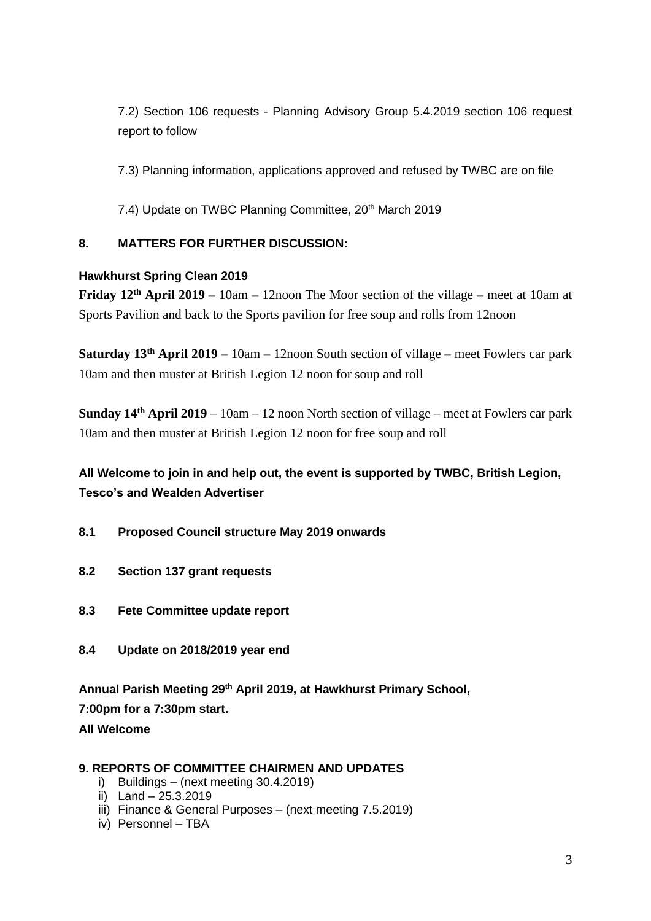7.2) Section 106 requests - Planning Advisory Group 5.4.2019 section 106 request report to follow

7.3) Planning information, applications approved and refused by TWBC are on file

7.4) Update on TWBC Planning Committee, 20<sup>th</sup> March 2019

## **8. MATTERS FOR FURTHER DISCUSSION:**

## **Hawkhurst Spring Clean 2019**

**Friday 12th April 2019** – 10am – 12noon The Moor section of the village – meet at 10am at Sports Pavilion and back to the Sports pavilion for free soup and rolls from 12noon

**Saturday 13th April 2019** – 10am – 12noon South section of village – meet Fowlers car park 10am and then muster at British Legion 12 noon for soup and roll

**Sunday 14th April 2019** – 10am – 12 noon North section of village – meet at Fowlers car park 10am and then muster at British Legion 12 noon for free soup and roll

# **All Welcome to join in and help out, the event is supported by TWBC, British Legion, Tesco's and Wealden Advertiser**

- **8.1 Proposed Council structure May 2019 onwards**
- **8.2 Section 137 grant requests**
- **8.3 Fete Committee update report**
- **8.4 Update on 2018/2019 year end**

**Annual Parish Meeting 29th April 2019, at Hawkhurst Primary School,** 

**7:00pm for a 7:30pm start.** 

**All Welcome**

## **9. REPORTS OF COMMITTEE CHAIRMEN AND UPDATES**

- i) Buildings (next meeting 30.4.2019)
- ii) Land 25.3.2019
- iii) Finance & General Purposes (next meeting 7.5.2019)
- iv) Personnel TBA